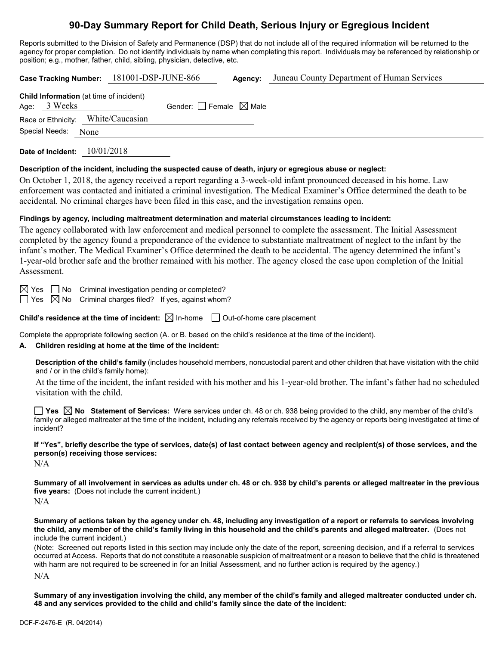## **90-Day Summary Report for Child Death, Serious Injury or Egregious Incident**

Reports submitted to the Division of Safety and Permanence (DSP) that do not include all of the required information will be returned to the agency for proper completion. Do not identify individuals by name when completing this report. Individuals may be referenced by relationship or position; e.g., mother, father, child, sibling, physician, detective, etc.

|                                                                | Case Tracking Number: 181001-DSP-JUNE-866 | Agency: | Juneau County Department of Human Services |
|----------------------------------------------------------------|-------------------------------------------|---------|--------------------------------------------|
| <b>Child Information</b> (at time of incident)<br>Age: 3 Weeks | Gender: $ $   Female $\boxtimes$ Male     |         |                                            |
| Race or Ethnicity: White/Caucasian                             |                                           |         |                                            |
| Special Needs:<br>None                                         |                                           |         |                                            |
| Date of Incident:                                              | 10/01/2018                                |         |                                            |

#### **Description of the incident, including the suspected cause of death, injury or egregious abuse or neglect:**

On October 1, 2018, the agency received a report regarding a 3-week-old infant pronounced deceased in his home. Law enforcement was contacted and initiated a criminal investigation. The Medical Examiner's Office determined the death to be accidental. No criminal charges have been filed in this case, and the investigation remains open.

#### **Findings by agency, including maltreatment determination and material circumstances leading to incident:**

The agency collaborated with law enforcement and medical personnel to complete the assessment. The Initial Assessment completed by the agency found a preponderance of the evidence to substantiate maltreatment of neglect to the infant by the infant's mother. The Medical Examiner's Office determined the death to be accidental. The agency determined the infant's 1-year-old brother safe and the brother remained with his mother. The agency closed the case upon completion of the Initial Assessment.

 $\boxtimes$  Yes  $\Box$  No Criminal investigation pending or completed?

 $\Box$  Yes  $\boxtimes$  No Criminal charges filed? If yes, against whom?

**Child's residence at the time of incident:**  $\boxtimes$  In-home  $\Box$  Out-of-home care placement

Complete the appropriate following section (A. or B. based on the child's residence at the time of the incident).

## **A. Children residing at home at the time of the incident:**

**Description of the child's family** (includes household members, noncustodial parent and other children that have visitation with the child and / or in the child's family home):

At the time of the incident, the infant resided with his mother and his 1-year-old brother. The infant's father had no scheduled visitation with the child.

**Yes No Statement of Services:** Were services under ch. 48 or ch. 938 being provided to the child, any member of the child's family or alleged maltreater at the time of the incident, including any referrals received by the agency or reports being investigated at time of incident?

**If "Yes", briefly describe the type of services, date(s) of last contact between agency and recipient(s) of those services, and the person(s) receiving those services:**

N/A

**Summary of all involvement in services as adults under ch. 48 or ch. 938 by child's parents or alleged maltreater in the previous five years:** (Does not include the current incident.) N/A

**Summary of actions taken by the agency under ch. 48, including any investigation of a report or referrals to services involving the child, any member of the child's family living in this household and the child's parents and alleged maltreater.** (Does not include the current incident.)

(Note: Screened out reports listed in this section may include only the date of the report, screening decision, and if a referral to services occurred at Access. Reports that do not constitute a reasonable suspicion of maltreatment or a reason to believe that the child is threatened with harm are not required to be screened in for an Initial Assessment, and no further action is required by the agency.) N/A

**Summary of any investigation involving the child, any member of the child's family and alleged maltreater conducted under ch. 48 and any services provided to the child and child's family since the date of the incident:**